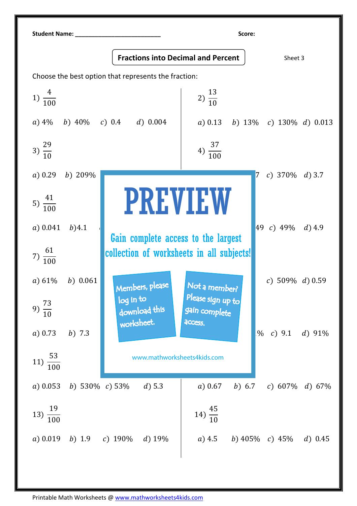